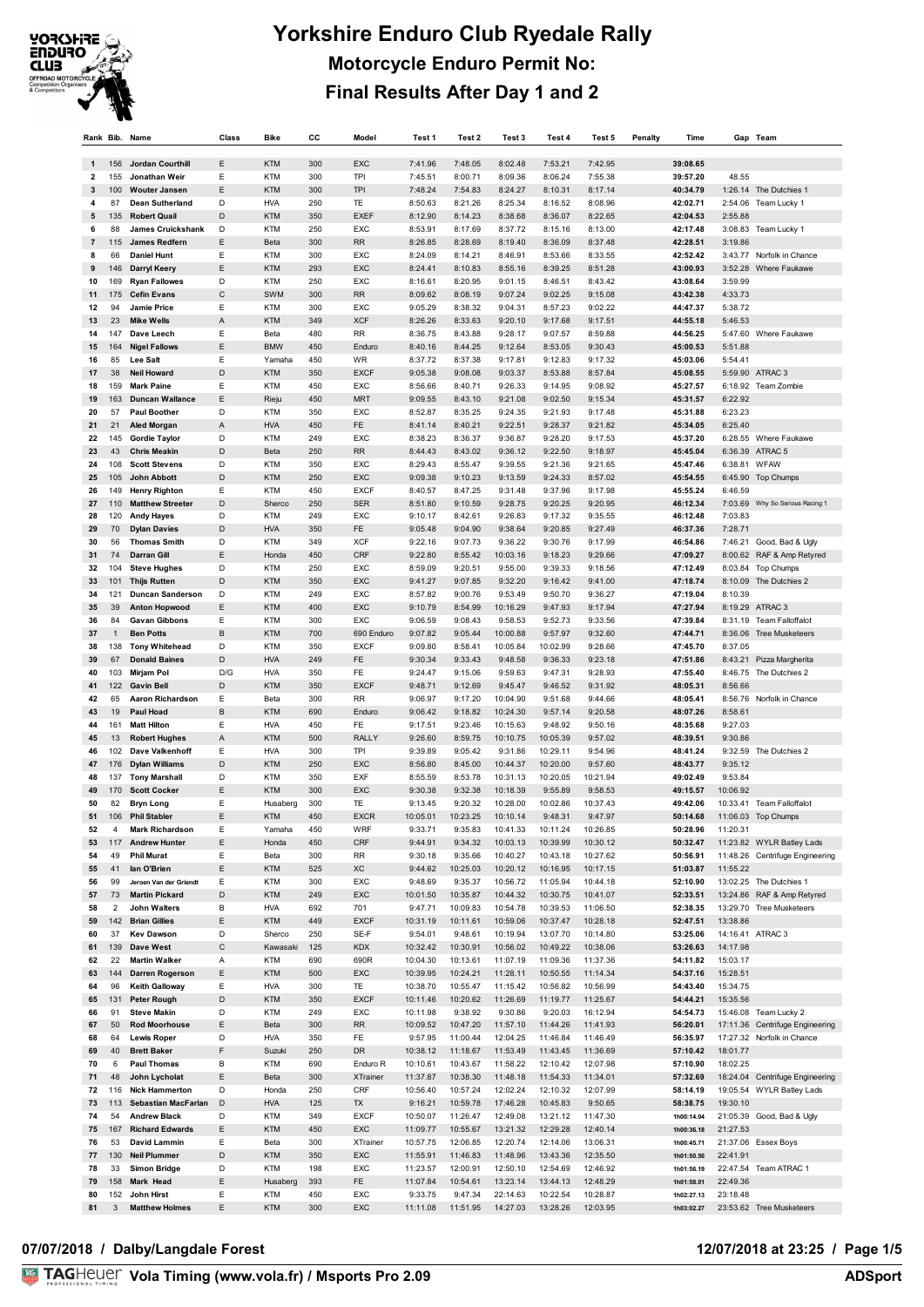

| Rank Bib.    |                | Name                                            | Class  | <b>Bike</b>              | СC         | Model                  | Test 1               | Test 2               | Test 3               | Test 4               | Test 5               | Penalty | Time                     |                    | Gap Team                                       |
|--------------|----------------|-------------------------------------------------|--------|--------------------------|------------|------------------------|----------------------|----------------------|----------------------|----------------------|----------------------|---------|--------------------------|--------------------|------------------------------------------------|
|              |                |                                                 |        |                          |            |                        |                      |                      |                      |                      |                      |         |                          |                    |                                                |
| $\mathbf{1}$ | 156            | Jordan Courthill                                | E      | <b>KTM</b>               | 300        | EXC                    | 7:41.96              | 7:48.05              | 8:02.48              | 7:53.21              | 7:42.95              |         | 39:08.65                 |                    |                                                |
| 2            | 155            | Jonathan Weir                                   | E      | <b>KTM</b>               | 300        | TPI                    | 7:45.51              | 8:00.71              | 8:09.36              | 8:06.24              | 7:55.38              |         | 39:57.20                 | 48.55              |                                                |
| 3<br>4       | 100<br>87      | <b>Wouter Jansen</b><br><b>Dean Sutherland</b>  | E<br>D | <b>KTM</b><br><b>HVA</b> | 300<br>250 | <b>TPI</b><br>TE       | 7:48.24<br>8:50.63   | 7:54.83<br>8:21.26   | 8:24.27<br>8:25.34   | 8:10.31<br>8:16.52   | 8:17.14<br>8:08.96   |         | 40:34.79<br>42:02.71     |                    | 1:26.14 The Dutchies 1<br>2:54.06 Team Lucky 1 |
| 5            | 135            | <b>Robert Quail</b>                             | D      | <b>KTM</b>               | 350        | <b>EXEF</b>            | 8:12.90              | 8:14.23              | 8:38.68              | 8:36.07              | 8:22.65              |         | 42:04.53                 | 2:55.88            |                                                |
| 6            | 88             | <b>James Cruickshank</b>                        | D      | <b>KTM</b>               | 250        | EXC                    | 8:53.91              | 8:17.69              | 8:37.72              | 8:15.16              | 8:13.00              |         | 42:17.48                 |                    | 3:08.83 Team Lucky 1                           |
| 7            | 115            | <b>James Redfern</b>                            | E      | Beta                     | 300        | RR                     | 8:26.85              | 8:28.69              | 8:19.40              | 8:36.09              | 8:37.48              |         | 42:28.51                 | 3:19.86            |                                                |
| 8            | 66             | <b>Daniel Hunt</b>                              | E      | <b>KTM</b>               | 300        | EXC                    | 8:24.09              | 8:14.21              | 8:46.91              | 8:53.66              | 8:33.55              |         | 42:52.42                 |                    | 3:43.77 Norfolk in Chance                      |
| 9            | 146            | <b>Darryl Keery</b>                             | E      | <b>KTM</b>               | 293        | EXC                    | 8:24.41              | 8:10.83              | 8:55.16              | 8:39.25              | 8:51.28              |         | 43:00.93                 | 3:52.28            | Where Faukawe                                  |
| 10           | 169            | <b>Ryan Fallowes</b>                            | D      | <b>KTM</b>               | 250        | EXC                    | 8:16.61              | 8:20.95              | 9:01.15              | 8:46.51              | 8:43.42              |         | 43:08.64                 | 3:59.99            |                                                |
| 11           | 175            | <b>Cefin Evans</b>                              | C      | SWM                      | 300        | <b>RR</b>              | 8:09.62              | 8:08.19              | 9:07.24              | 9:02.25              | 9:15.08              |         | 43:42.38                 | 4:33.73            |                                                |
| 12           | 94             | <b>Jamie Price</b>                              | E      | <b>KTM</b>               | 300        | EXC                    | 9:05.29              | 8:38.32              | 9:04.31              | 8:57.23              | 9:02.22              |         | 44:47.37                 | 5:38.72            |                                                |
| 13           | 23             | <b>Mike Wells</b>                               | A<br>E | <b>KTM</b>               | 349        | <b>XCF</b>             | 8:26.26              | 8:33.63              | 9:20.10              | 9:17.68              | 9:17.51              |         | 44:55.18<br>44:56.25     | 5:46.53<br>5:47.60 |                                                |
| 14<br>15     | 147<br>164     | Dave Leech<br><b>Nigel Fallows</b>              | E      | Beta<br><b>BMW</b>       | 480<br>450 | <b>RR</b><br>Enduro    | 8:36.75<br>8:40.16   | 8:43.88<br>8:44.25   | 9:28.17<br>9:12.64   | 9:07.57<br>8:53.05   | 8:59.88<br>9:30.43   |         | 45:00.53                 | 5:51.88            | Where Faukawe                                  |
| 16           | 85             | Lee Salt                                        | Ε      | Yamaha                   | 450        | WR                     | 8:37.72              | 8:37.38              | 9:17.81              | 9:12.83              | 9:17.32              |         | 45:03.06                 | 5:54.41            |                                                |
| 17           | 38             | <b>Neil Howard</b>                              | D      | <b>KTM</b>               | 350        | <b>EXCF</b>            | 9:05.38              | 9:08.08              | 9:03.37              | 8:53.88              | 8:57.84              |         | 45:08.55                 |                    | 5:59.90 ATRAC 3                                |
| 18           | 159            | <b>Mark Paine</b>                               | Ε      | <b>KTM</b>               | 450        | EXC                    | 8:56.66              | 8:40.71              | 9:26.33              | 9:14.95              | 9:08.92              |         | 45:27.57                 |                    | 6:18.92 Team Zombie                            |
| 19           | 163            | <b>Duncan Wallance</b>                          | E      | Rieju                    | 450        | <b>MRT</b>             | 9:09.55              | 8:43.10              | 9:21.08              | 9:02.50              | 9:15.34              |         | 45:31.57                 | 6:22.92            |                                                |
| 20           | 57             | <b>Paul Boother</b>                             | D      | <b>KTM</b>               | 350        | EXC                    | 8:52.87              | 8:35.25              | 9:24.35              | 9:21.93              | 9:17.48              |         | 45:31.88                 | 6:23.23            |                                                |
| 21           | 21             | <b>Aled Morgan</b>                              | A      | <b>HVA</b>               | 450        | FE                     | 8:41.14              | 8:40.21              | 9:22.51              | 9:28.37              | 9:21.82              |         | 45:34.05                 | 6:25.40            |                                                |
| 22           | 145            | <b>Gordie Taylor</b>                            | D      | <b>KTM</b>               | 249        | EXC                    | 8:38.23              | 8:36.37              | 9:36.87              | 9:28.20              | 9:17.53              |         | 45:37.20                 |                    | 6:28.55 Where Faukawe                          |
| 23           | 43             | <b>Chris Meakin</b>                             | D      | Beta                     | 250        | <b>RR</b>              | 8:44.43              | 8:43.02              | 9:36.12              | 9:22.50              | 9:18.97              |         | 45:45.04                 |                    | 6:36.39 ATRAC 5                                |
| 24<br>25     | 108<br>105     | <b>Scott Stevens</b><br>John Abbott             | D<br>D | <b>KTM</b><br><b>KTM</b> | 350<br>250 | EXC<br>EXC             | 8:29.43<br>9:09.38   | 8:55.47<br>9:10.23   | 9:39.55<br>9:13.59   | 9:21.36<br>9:24.33   | 9:21.65<br>8:57.02   |         | 45:47.46<br>45:54.55     | 6:38.81            | WFAW<br>6:45.90 Top Chumps                     |
| 26           | 149            | <b>Henry Righton</b>                            | Ε      | <b>KTM</b>               | 450        | <b>EXCF</b>            | 8:40.57              | 8:47.25              | 9:31.48              | 9:37.96              | 9:17.98              |         | 45:55.24                 | 6:46.59            |                                                |
| 27           | 110            | <b>Matthew Streeter</b>                         | D      | Sherco                   | 250        | <b>SER</b>             | 8:51.80              | 9:10.59              | 9:28.75              | 9:20.25              | 9:20.95              |         | 46:12.34                 |                    | 7:03.69 Why So Serious Racing 1                |
| 28           | 120            | <b>Andy Hayes</b>                               | D      | <b>KTM</b>               | 249        | EXC                    | 9:10.17              | 8:42.61              | 9:26.83              | 9:17.32              | 9:35.55              |         | 46:12.48                 | 7:03.83            |                                                |
| 29           | 70             | <b>Dylan Davies</b>                             | D      | <b>HVA</b>               | 350        | FE                     | 9:05.48              | 9:04.90              | 9:38.64              | 9:20.85              | 9:27.49              |         | 46:37.36                 | 7:28.71            |                                                |
| 30           | 56             | <b>Thomas Smith</b>                             | D      | <b>KTM</b>               | 349        | <b>XCF</b>             | 9:22.16              | 9:07.73              | 9:36.22              | 9:30.76              | 9:17.99              |         | 46:54.86                 |                    | 7:46.21 Good, Bad & Ugly                       |
| 31           | 74             | <b>Darran Gill</b>                              | E      | Honda                    | 450        | CRF                    | 9:22.80              | 8:55.42              | 10:03.16             | 9:18.23              | 9:29.66              |         | 47:09.27                 |                    | 8:00.62 RAF & Amp Retyred                      |
| 32           | 104            | <b>Steve Hughes</b>                             | D      | <b>KTM</b>               | 250        | EXC                    | 8:59.09              | 9:20.51              | 9:55.00              | 9:39.33              | 9:18.56              |         | 47:12.49                 |                    | 8:03.84 Top Chumps                             |
| 33           | 101            | <b>Thijs Rutten</b>                             | D      | <b>KTM</b>               | 350        | EXC                    | 9:41.27              | 9:07.85              | 9:32.20              | 9:16.42              | 9:41.00              |         | 47:18.74                 |                    | 8:10.09 The Dutchies 2                         |
| 34<br>35     | 121<br>39      | <b>Duncan Sanderson</b><br><b>Anton Hopwood</b> | D<br>Ε | <b>KTM</b><br><b>KTM</b> | 249<br>400 | EXC<br>EXC             | 8:57.82<br>9:10.79   | 9:00.76<br>8:54.99   | 9:53.49<br>10:16.29  | 9:50.70<br>9:47.93   | 9:36.27<br>9:17.94   |         | 47:19.04<br>47:27.94     | 8:10.39            | 8:19.29 ATRAC 3                                |
| 36           | 84             | <b>Gavan Gibbons</b>                            | Ε      | <b>KTM</b>               | 300        | EXC                    | 9:06.59              | 9:08.43              | 9:58.53              | 9:52.73              | 9:33.56              |         | 47:39.84                 |                    | 8:31.19 Team Falloffalot                       |
| 37           | $\mathbf{1}$   | <b>Ben Potts</b>                                | B      | <b>KTM</b>               | 700        | 690 Enduro             | 9:07.82              | 9:05.44              | 10:00.88             | 9:57.97              | 9:32.60              |         | 47:44.71                 | 8:36.06            | <b>Tree Musketeers</b>                         |
| 38           | 138            | <b>Tony Whitehead</b>                           | D      | <b>KTM</b>               | 350        | <b>EXCF</b>            | 9:09.80              | 8:58.41              | 10:05.84             | 10:02.99             | 9:28.66              |         | 47:45.70                 | 8:37.05            |                                                |
| 39           | 67             | <b>Donald Baines</b>                            | D      | <b>HVA</b>               | 249        | FE                     | 9:30.34              | 9:33.43              | 9:48.58              | 9:36.33              | 9:23.18              |         | 47:51.86                 |                    | 8:43.21 Pizza Margherita                       |
| 40           | 103            | Mirjam Pol                                      | D/G    | <b>HVA</b>               | 350        | FE                     | 9:24.47              | 9:15.06              | 9:59.63              | 9:47.31              | 9:28.93              |         | 47:55.40                 |                    | 8:46.75 The Dutchies 2                         |
| 41           | 122            | <b>Gavin Bell</b>                               | D      | <b>KTM</b>               | 350        | <b>EXCF</b>            | 9:48.71              | 9:12.69              | 9:45.47              | 9:46.52              | 9:31.92              |         | 48:05.31                 | 8:56.66            |                                                |
| 42           | 65             | <b>Aaron Richardson</b>                         | Ε      | Beta                     | 300        | <b>RR</b>              | 9:06.97              | 9:17.20              | 10:04.90             | 9:51.68              | 9:44.66              |         | 48:05.41                 |                    | 8:56.76 Norfolk in Chance                      |
| 43           | 19             | <b>Paul Hoad</b>                                | B      | <b>KTM</b>               | 690        | Enduro                 | 9:06.42              | 9:18.82              | 10:24.30             | 9:57.14              | 9:20.58              |         | 48:07.26                 | 8:58.61            |                                                |
| 44           | 161            | <b>Matt Hilton</b>                              | Ε      | <b>HVA</b>               | 450        | FE                     | 9:17.51              | 9:23.46              | 10:15.63             | 9:48.92              | 9:50.16              |         | 48:35.68                 | 9:27.03            |                                                |
| 45<br>46     | 13<br>102      | <b>Robert Hughes</b><br>Dave Valkenhoff         | Α<br>Ε | <b>KTM</b><br><b>HVA</b> | 500<br>300 | <b>RALLY</b><br>TPI    | 9:26.60<br>9:39.89   | 8:59.75<br>9:05.42   | 10:10.75<br>9:31.86  | 10:05.39<br>10:29.11 | 9:57.02<br>9:54.96   |         | 48:39.51<br>48:41.24     | 9:30.86            | 9:32.59 The Dutchies 2                         |
| 47           | 176            | <b>Dylan Williams</b>                           | D      | <b>KTM</b>               | 250        | <b>EXC</b>             | 8:56.80              | 8:45.00              | 10:44.37             | 10:20.00             | 9:57.60              |         | 48:43.77                 | 9:35.12            |                                                |
| 48           | 137            | <b>Tony Marshall</b>                            | D      | <b>KTM</b>               | 350        | <b>EXF</b>             | 8:55.59              | 8:53.78              | 10:31.13             | 10:20.05             | 10:21.94             |         | 49:02.49                 | 9:53.84            |                                                |
| 49           | 170            | <b>Scott Cocker</b>                             | E      | <b>KTM</b>               | 300        | EXC                    | 9:30.38              | 9:32.38              | 10:18.39             | 9:55.89              | 9:58.53              |         | 49:15.57                 | 10:06.92           |                                                |
| 50           | 82             | <b>Bryn Long</b>                                | E      | Husaberg                 | 300        | TE                     | 9:13.45              | 9:20.32              | 10:28.00             | 10:02.86             | 10:37.43             |         | 49:42.06                 |                    | 10:33.41 Team Falloffalot                      |
| 51           | 106            | <b>Phil Stabler</b>                             | E      | <b>KTM</b>               | 450        | <b>EXCR</b>            | 10:05.01             | 10:23.25             | 10:10.14             | 9:48.31              | 9:47.97              |         | 50:14.68                 |                    | 11:06.03 Top Chumps                            |
| 52           | $\overline{4}$ | <b>Mark Richardson</b>                          | Ε      | Yamaha                   | 450        | WRF                    | 9:33.71              | 9:35.83              | 10:41.33             | 10:11.24             | 10:26.85             |         | 50:28.96                 | 11:20.31           |                                                |
| 53           | 117            | <b>Andrew Hunter</b>                            | Ε      | Honda                    | 450        | CRF                    | 9:44.91              | 9:34.32              | 10:03.13             | 10:39.99             | 10:30.12             |         | 50:32.47                 |                    | 11:23.82 WYLR Batley Lads                      |
| 54           | 49             | <b>Phil Murat</b>                               | Ε      | Beta                     | 300        | RR                     | 9:30.18              | 9:35.66              | 10:40.27             | 10:43.18             | 10:27.62             |         | 50:56.91                 |                    | 11:48.26 Centrifuge Engineering                |
| 55<br>56     | 41<br>99       | lan O'Brien<br>Jeroen Van der Griendt           | Ε<br>Ε | <b>KTM</b><br><b>KTM</b> | 525<br>300 | XC<br>EXC              | 9:44.62<br>9:48.69   | 10:25.03<br>9:35.37  | 10:20.12<br>10:56.72 | 10:16.95<br>11:05.94 | 10:17.15<br>10:44.18 |         | 51:03.87<br>52:10.90     | 11:55.22           | 13:02.25 The Dutchies 1                        |
| 57           | 73             | <b>Martin Pickard</b>                           | D      | <b>KTM</b>               | 249        | EXC                    | 10:01.50             | 10:35.87             | 10:44.32             | 10:30.75             | 10:41.07             |         | 52:33.51                 |                    | 13:24.86 RAF & Amp Retyred                     |
| 58           | 2              | <b>John Walters</b>                             | B      | <b>HVA</b>               | 692        | 701                    | 9:47.71              | 10:09.83             | 10:54.78             | 10:39.53             | 11:06.50             |         | 52:38.35                 |                    | 13:29.70 Tree Musketeers                       |
| 59           | 142            | <b>Brian Gillies</b>                            | Ε      | <b>KTM</b>               | 449        | <b>EXCF</b>            | 10:31.19             | 10:11.61             | 10:59.06             | 10:37.47             | 10:28.18             |         | 52:47.51                 | 13:38.86           |                                                |
| 60           | 37             | <b>Kev Dawson</b>                               | D      | Sherco                   | 250        | SE-F                   | 9:54.01              | 9:48.61              | 10:19.94             | 13:07.70             | 10:14.80             |         | 53:25.06                 | 14:16.41 ATRAC 3   |                                                |
| 61           | 139            | Dave West                                       | С      | Kawasaki                 | 125        | <b>KDX</b>             | 10:32.42             | 10:30.91             | 10:56.02             | 10:49.22             | 10:38.06             |         | 53:26.63                 | 14:17.98           |                                                |
| 62           | 22             | <b>Martin Walker</b>                            | Α      | <b>KTM</b>               | 690        | 690R                   | 10:04.30             | 10:13.61             | 11:07.19             | 11:09.36             | 11:37.36             |         | 54:11.82                 | 15:03.17           |                                                |
| 63           | 144            | Darren Rogerson                                 | Ε      | KTM                      | 500        | EXC                    | 10:39.95             | 10:24.21             | 11:28.11             | 10:50.55             | 11:14.34             |         | 54:37.16                 | 15:28.51           |                                                |
| 64           | 96             | <b>Keith Galloway</b>                           | Ε      | <b>HVA</b>               | 300        | TE                     | 10:38.70             | 10:55.47             | 11:15.42             | 10:56.82             | 10:56.99             |         | 54:43.40                 | 15:34.75           |                                                |
| 65<br>66     | 131<br>91      | <b>Peter Rough</b><br><b>Steve Makin</b>        | D<br>D | <b>KTM</b><br><b>KTM</b> | 350<br>249 | <b>EXCF</b><br>EXC     | 10:11.46<br>10:11.98 | 10:20.62<br>9:38.92  | 11:26.69<br>9:30.86  | 11:19.77<br>9:20.03  | 11:25.67<br>16:12.94 |         | 54:44.21<br>54:54.73     | 15:35.56           | 15:46.08 Team Lucky 2                          |
| 67           | 50             | <b>Rod Moorhouse</b>                            | Ε      | Beta                     | 300        | <b>RR</b>              | 10:09.52             | 10:47.20             | 11:57.10             | 11:44.26             | 11:41.93             |         | 56:20.01                 |                    | 17:11.36 Centrifuge Engineering                |
| 68           | 64             | <b>Lewis Roper</b>                              | D      | <b>HVA</b>               | 350        | FE                     | 9:57.95              | 11:00.44             | 12:04.25             | 11:46.84             | 11:46.49             |         | 56:35.97                 |                    | 17:27.32 Norfolk in Chance                     |
| 69           | 40             | <b>Brett Baker</b>                              | F      | Suzuki                   | 250        | DR                     | 10:38.12             | 11:18.67             | 11:53.49             | 11:43.45             | 11:36.69             |         | 57:10.42                 | 18:01.77           |                                                |
| 70           | 6              | <b>Paul Thomas</b>                              | В      | <b>KTM</b>               | 690        | Enduro R               | 10:10.61             | 10:43.67             | 11:58.22             | 12:10.42             | 12:07.98             |         | 57:10.90                 | 18:02.25           |                                                |
| 71           | 48             | John Lycholat                                   | Ε      | Beta                     | 300        | <b>XTrainer</b>        | 11:37.87             | 10:38.30             | 11:48.18             | 11:54.33             | 11:34.01             |         | 57:32.69                 |                    | 18:24.04 Centrifuge Engineering                |
| 72           | 116            | <b>Nick Hammerton</b>                           | D      | Honda                    | 250        | CRF                    | 10:56.40             | 10:57.24             | 12:02.24             | 12:10.32             | 12:07.99             |         | 58:14.19                 |                    | 19:05.54 WYLR Batley Lads                      |
| 73           | 113            | Sebastian MacFarlan                             | D      | <b>HVA</b>               | 125        | TX                     | 9:16.21              | 10:59.78             | 17:46.28             | 10:45.83             | 9:50.65              |         | 58:38.75                 | 19:30.10           |                                                |
| 74           | 54             | <b>Andrew Black</b>                             | D      | <b>KTM</b>               | 349        | <b>EXCF</b>            | 10:50.07             | 11:26.47             | 12:49.08             | 13:21.12             | 11:47.30             |         | 1h00:14.04               |                    | 21:05.39 Good, Bad & Ugly                      |
| 75           | 167            | <b>Richard Edwards</b>                          | Ε      | <b>KTM</b>               | 450        | EXC                    | 11:09.77             | 10:55.67             | 13:21.32             | 12:29.28             | 12:40.14             |         | 1h00:36.18               | 21:27.53           |                                                |
| 76<br>77     | 53<br>130      | David Lammin<br><b>Neil Plummer</b>             | Ε<br>D | Beta<br><b>KTM</b>       | 300<br>350 | <b>XTrainer</b><br>EXC | 10:57.75<br>11:55.91 | 12:06.85<br>11:46.83 | 12:20.74<br>11:48.96 | 12:14.06<br>13:43.36 | 13:06.31<br>12:35.50 |         | 1h00:45.71<br>1h01:50.56 | 22:41.91           | 21:37.06 Essex Boys                            |
| 78           | 33             | <b>Simon Bridge</b>                             | D      | KTM                      | 198        | EXC                    | 11:23.57             | 12:00.91             | 12:50.10             | 12:54.69             | 12:46.92             |         | 1h01:56.19               |                    | 22:47.54 Team ATRAC 1                          |
| 79           |                |                                                 |        |                          |            |                        |                      |                      |                      |                      |                      |         |                          |                    |                                                |
|              | 158            | Mark Head                                       | Ε      | Husaberg                 | 393        | FE                     | 11:07.84             | 10:54.61             | 13:23.14             | 13:44.13             | 12:48.29             |         | 1h01:58.01               | 22:49.36           |                                                |
| 80           | 152            | John Hirst                                      | Ε      | <b>KTM</b>               | 450        | EXC                    | 9:33.75              | 9:47.34              | 22:14.63             | 10:22.54             | 10:28.87             |         | 1h02:27.13               | 23:18.48           |                                                |

### 07/07/2018 / Dalby/Langdale Forest

# 12/07/2018 at 23:25 / Page 1/5<br>ADSport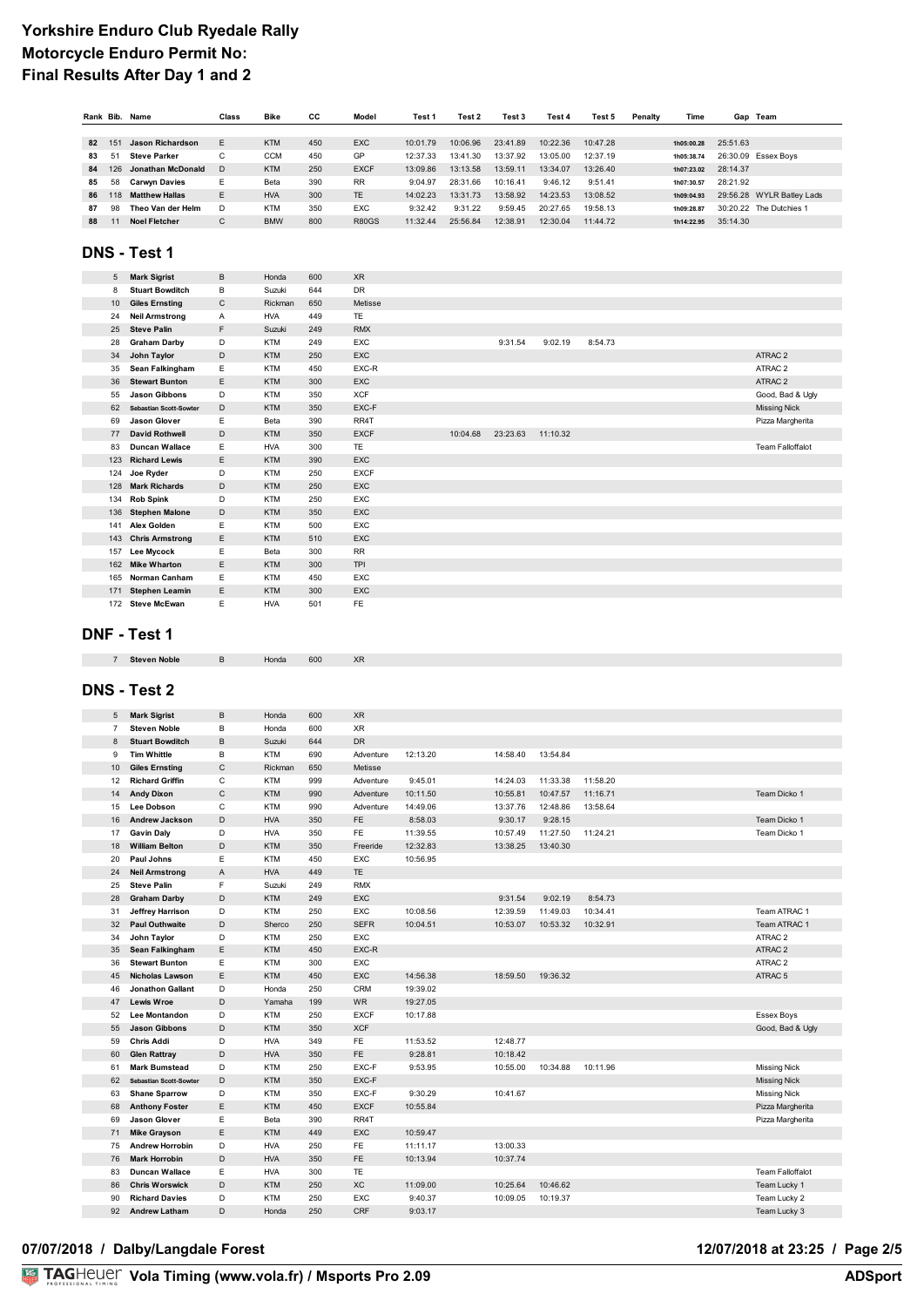|    | Rank Bib.       | Name                  | Class       | <b>Bike</b> | СC  | Model        | Test 1   | Test 2   | Test 3   | Test 4   | Test 5   | Penalty | Time       |          | Gap Team                  |
|----|-----------------|-----------------------|-------------|-------------|-----|--------------|----------|----------|----------|----------|----------|---------|------------|----------|---------------------------|
|    |                 |                       |             |             |     |              |          |          |          |          |          |         |            |          |                           |
| 82 | 15 <sup>1</sup> | Jason Richardson      | E           | <b>KTM</b>  | 450 | <b>EXC</b>   | 10:01.79 | 10:06.96 | 23:41.89 | 10:22.36 | 10:47.28 |         | 1h05:00.28 | 25:51.63 |                           |
| 83 | 51              | <b>Steve Parker</b>   | $\sim$<br>Ü | <b>CCM</b>  | 450 | GP           | 12:37.33 | 13:41.30 | 13:37.92 | 13:05.00 | 12:37.19 |         | 1h05:38.74 |          | 26:30.09 Essex Boys       |
| 84 | 126             | Jonathan McDonald     | D.          | <b>KTM</b>  | 250 | <b>EXCF</b>  | 13:09.86 | 13:13.58 | 13:59.11 | 13:34.07 | 13:26.40 |         | 1h07:23.02 | 28:14.37 |                           |
| 85 | 58              | <b>Carwyn Davies</b>  | Е.          | Beta        | 390 | <b>RR</b>    | 9:04.97  | 28:31.66 | 10:16.41 | 9:46.12  | 9:51.41  |         | 1h07:30.57 | 28:21.92 |                           |
| 86 | 118             | <b>Matthew Hallas</b> | E.          | <b>HVA</b>  | 300 | <b>TF</b>    | 14:02.23 | 13:31.73 | 13:58.92 | 14:23.53 | 13:08.52 |         | 1h09:04.93 |          | 29:56.28 WYLR Batley Lads |
| 87 | 98              | Theo Van der Helm     | D           | <b>KTM</b>  | 350 | <b>EXC</b>   | 9:32.42  | 9:31.22  | 9:59.45  | 20:27.65 | 19:58.13 |         | 1h09:28.87 |          | 30:20.22 The Dutchies 1   |
| 88 |                 | <b>Noel Fletcher</b>  | $\sim$<br>Ü | <b>BMW</b>  | 800 | <b>R80GS</b> | 11:32.44 | 25:56.84 | 12:38.91 | 12:30.04 | 11:44.72 |         | 1h14:22.95 | 35:14.30 |                           |

### **DNS - Test 1**

| 5   | <b>Mark Sigrist</b>           | B | Honda      | 600 | <b>XR</b>   |          |          |          |         |                         |
|-----|-------------------------------|---|------------|-----|-------------|----------|----------|----------|---------|-------------------------|
| 8   | <b>Stuart Bowditch</b>        | B | Suzuki     | 644 | <b>DR</b>   |          |          |          |         |                         |
| 10  | <b>Giles Ernsting</b>         | C | Rickman    | 650 | Metisse     |          |          |          |         |                         |
| 24  | <b>Neil Armstrong</b>         | A | <b>HVA</b> | 449 | <b>TE</b>   |          |          |          |         |                         |
| 25  | <b>Steve Palin</b>            | F | Suzuki     | 249 | <b>RMX</b>  |          |          |          |         |                         |
| 28  | <b>Graham Darby</b>           | D | <b>KTM</b> | 249 | EXC         |          | 9:31.54  | 9:02.19  | 8:54.73 |                         |
| 34  | John Taylor                   | D | <b>KTM</b> | 250 | EXC         |          |          |          |         | ATRAC <sub>2</sub>      |
| 35  | Sean Falkingham               | Е | <b>KTM</b> | 450 | EXC-R       |          |          |          |         | ATRAC <sub>2</sub>      |
| 36  | <b>Stewart Bunton</b>         | E | <b>KTM</b> | 300 | <b>EXC</b>  |          |          |          |         | ATRAC <sub>2</sub>      |
| 55  | <b>Jason Gibbons</b>          | D | <b>KTM</b> | 350 | <b>XCF</b>  |          |          |          |         | Good, Bad & Ugly        |
| 62  | <b>Sebastian Scott-Sowter</b> | D | <b>KTM</b> | 350 | EXC-F       |          |          |          |         | <b>Missing Nick</b>     |
| 69  | <b>Jason Glover</b>           | E | Beta       | 390 | RR4T        |          |          |          |         | Pizza Margherita        |
| 77  | <b>David Rothwell</b>         | D | <b>KTM</b> | 350 | <b>EXCF</b> | 10:04.68 | 23:23.63 | 11:10.32 |         |                         |
| 83  | <b>Duncan Wallace</b>         | Ε | <b>HVA</b> | 300 | <b>TE</b>   |          |          |          |         | <b>Team Falloffalot</b> |
| 123 | <b>Richard Lewis</b>          | E | <b>KTM</b> | 390 | <b>EXC</b>  |          |          |          |         |                         |
| 124 | Joe Ryder                     | D | <b>KTM</b> | 250 | <b>EXCF</b> |          |          |          |         |                         |
| 128 | <b>Mark Richards</b>          | D | <b>KTM</b> | 250 | <b>EXC</b>  |          |          |          |         |                         |
| 134 | <b>Rob Spink</b>              | D | <b>KTM</b> | 250 | EXC         |          |          |          |         |                         |
| 136 | <b>Stephen Malone</b>         | D | <b>KTM</b> | 350 | <b>EXC</b>  |          |          |          |         |                         |
| 141 | <b>Alex Golden</b>            | Ε | <b>KTM</b> | 500 | EXC         |          |          |          |         |                         |
| 143 | <b>Chris Armstrong</b>        | E | <b>KTM</b> | 510 | <b>EXC</b>  |          |          |          |         |                         |
| 157 | Lee Mycock                    | Ε | Beta       | 300 | <b>RR</b>   |          |          |          |         |                         |
| 162 | <b>Mike Wharton</b>           | E | <b>KTM</b> | 300 | <b>TPI</b>  |          |          |          |         |                         |
| 165 | Norman Canham                 | Ε | <b>KTM</b> | 450 | EXC         |          |          |          |         |                         |
| 171 | <b>Stephen Leamin</b>         | Ε | <b>KTM</b> | 300 | EXC         |          |          |          |         |                         |
|     | 172 Steve McEwan              | E | <b>HVA</b> | 501 | FE          |          |          |          |         |                         |

#### **DNF - Test 1**

| <b>Steven Noble</b> | Honda | 600 |  |
|---------------------|-------|-----|--|

### **DNS - Test 2**

| 5              | <b>Mark Sigrist</b>           | В              | Honda      | 600 | <b>XR</b>   |          |          |          |          |                         |
|----------------|-------------------------------|----------------|------------|-----|-------------|----------|----------|----------|----------|-------------------------|
| $\overline{7}$ | <b>Steven Noble</b>           | B              | Honda      | 600 | <b>XR</b>   |          |          |          |          |                         |
| 8              | <b>Stuart Bowditch</b>        | B              | Suzuki     | 644 | <b>DR</b>   |          |          |          |          |                         |
| 9              | <b>Tim Whittle</b>            | B              | <b>KTM</b> | 690 | Adventure   | 12:13.20 | 14:58.40 | 13:54.84 |          |                         |
| 10             | <b>Giles Ernsting</b>         | $\mathsf C$    | Rickman    | 650 | Metisse     |          |          |          |          |                         |
| 12             | <b>Richard Griffin</b>        | C              | <b>KTM</b> | 999 | Adventure   | 9:45.01  | 14:24.03 | 11:33.38 | 11:58.20 |                         |
| 14             | <b>Andy Dixon</b>             | $\mathsf{C}$   | <b>KTM</b> | 990 | Adventure   | 10:11.50 | 10:55.81 | 10:47.57 | 11:16.71 | Team Dicko 1            |
| 15             | <b>Lee Dobson</b>             | C              | <b>KTM</b> | 990 | Adventure   | 14:49.06 | 13:37.76 | 12:48.86 | 13:58.64 |                         |
| 16             | <b>Andrew Jackson</b>         | D              | <b>HVA</b> | 350 | <b>FE</b>   | 8:58.03  | 9:30.17  | 9:28.15  |          | Team Dicko 1            |
| 17             | <b>Gavin Dalv</b>             | D              | <b>HVA</b> | 350 | <b>FE</b>   | 11:39.55 | 10:57.49 | 11:27.50 | 11:24.21 | Team Dicko 1            |
| 18             | <b>William Belton</b>         | D              | <b>KTM</b> | 350 | Freeride    | 12:32.83 | 13:38.25 | 13:40.30 |          |                         |
| 20             | Paul Johns                    | E              | <b>KTM</b> | 450 | <b>EXC</b>  | 10:56.95 |          |          |          |                         |
| 24             | <b>Neil Armstrong</b>         | $\overline{A}$ | <b>HVA</b> | 449 | <b>TF</b>   |          |          |          |          |                         |
| 25             | <b>Steve Palin</b>            | F              | Suzuki     | 249 | <b>RMX</b>  |          |          |          |          |                         |
| 28             | <b>Graham Darby</b>           | D              | <b>KTM</b> | 249 | <b>EXC</b>  |          | 9:31.54  | 9:02.19  | 8:54.73  |                         |
| 31             | <b>Jeffrey Harrison</b>       | D              | <b>KTM</b> | 250 | <b>EXC</b>  | 10:08.56 | 12:39.59 | 11:49.03 | 10:34.41 | Team ATRAC 1            |
| 32             | <b>Paul Outhwaite</b>         | D              | Sherco     | 250 | <b>SEFR</b> | 10:04.51 | 10:53.07 | 10:53.32 | 10:32.91 | Team ATRAC 1            |
| 34             | John Taylor                   | D              | <b>KTM</b> | 250 | <b>EXC</b>  |          |          |          |          | ATRAC <sub>2</sub>      |
| 35             | Sean Falkingham               | Ε              | <b>KTM</b> | 450 | EXC-R       |          |          |          |          | ATRAC 2                 |
| 36             | <b>Stewart Bunton</b>         | Ε              | <b>KTM</b> | 300 | EXC         |          |          |          |          | ATRAC <sub>2</sub>      |
| 45             | <b>Nicholas Lawson</b>        | E              | <b>KTM</b> | 450 | <b>EXC</b>  | 14:56.38 | 18:59.50 | 19:36.32 |          | ATRAC <sub>5</sub>      |
| 46             | <b>Jonathon Gallant</b>       | D              | Honda      | 250 | CRM         | 19:39.02 |          |          |          |                         |
| 47             | <b>Lewis Wroe</b>             | D              | Yamaha     | 199 | <b>WR</b>   | 19:27.05 |          |          |          |                         |
| 52             | <b>Lee Montandon</b>          | D              | <b>KTM</b> | 250 | <b>EXCF</b> | 10:17.88 |          |          |          | <b>Essex Boys</b>       |
| 55             | <b>Jason Gibbons</b>          | D              | <b>KTM</b> | 350 | <b>XCF</b>  |          |          |          |          | Good, Bad & Ugly        |
| 59             | <b>Chris Addi</b>             | D              | <b>HVA</b> | 349 | <b>FE</b>   | 11:53.52 | 12:48.77 |          |          |                         |
| 60             | <b>Glen Rattray</b>           | D              | <b>HVA</b> | 350 | FE          | 9:28.81  | 10:18.42 |          |          |                         |
| 61             | <b>Mark Bumstead</b>          | D              | <b>KTM</b> | 250 | EXC-F       | 9:53.95  | 10:55.00 | 10:34.88 | 10:11.96 | <b>Missing Nick</b>     |
| 62             | <b>Sebastian Scott-Sowter</b> | D              | <b>KTM</b> | 350 | EXC-F       |          |          |          |          | <b>Missing Nick</b>     |
| 63             | <b>Shane Sparrow</b>          | D              | <b>KTM</b> | 350 | EXC-F       | 9:30.29  | 10:41.67 |          |          | <b>Missing Nick</b>     |
| 68             | <b>Anthony Foster</b>         | Ε              | <b>KTM</b> | 450 | <b>EXCF</b> | 10:55.84 |          |          |          | Pizza Margherita        |
| 69             | <b>Jason Glover</b>           | E              | Beta       | 390 | RR4T        |          |          |          |          | Pizza Margherita        |
| 71             | <b>Mike Grayson</b>           | E              | <b>KTM</b> | 449 | <b>EXC</b>  | 10:59.47 |          |          |          |                         |
| 75             | <b>Andrew Horrobin</b>        | D              | <b>HVA</b> | 250 | <b>FE</b>   | 11:11.17 | 13:00.33 |          |          |                         |
| 76             | <b>Mark Horrobin</b>          | D              | <b>HVA</b> | 350 | <b>FE</b>   | 10:13.94 | 10:37.74 |          |          |                         |
| 83             | <b>Duncan Wallace</b>         | Ε              | <b>HVA</b> | 300 | <b>TE</b>   |          |          |          |          | <b>Team Falloffalot</b> |
| 86             | <b>Chris Worswick</b>         | D              | <b>KTM</b> | 250 | <b>XC</b>   | 11:09.00 | 10:25.64 | 10:46.62 |          | Team Lucky 1            |
| 90             | <b>Richard Davies</b>         | D              | <b>KTM</b> | 250 | EXC         | 9:40.37  | 10:09.05 | 10:19.37 |          | Team Lucky 2            |
| 92             | <b>Andrew Latham</b>          | D              | Honda      | 250 | CRF         | 9:03.17  |          |          |          | Team Lucky 3            |
|                |                               |                |            |     |             |          |          |          |          |                         |

#### 07/07/2018 / Dalby/Langdale Forest

# 12/07/2018 at 23:25 / Page 2/5<br>ADSport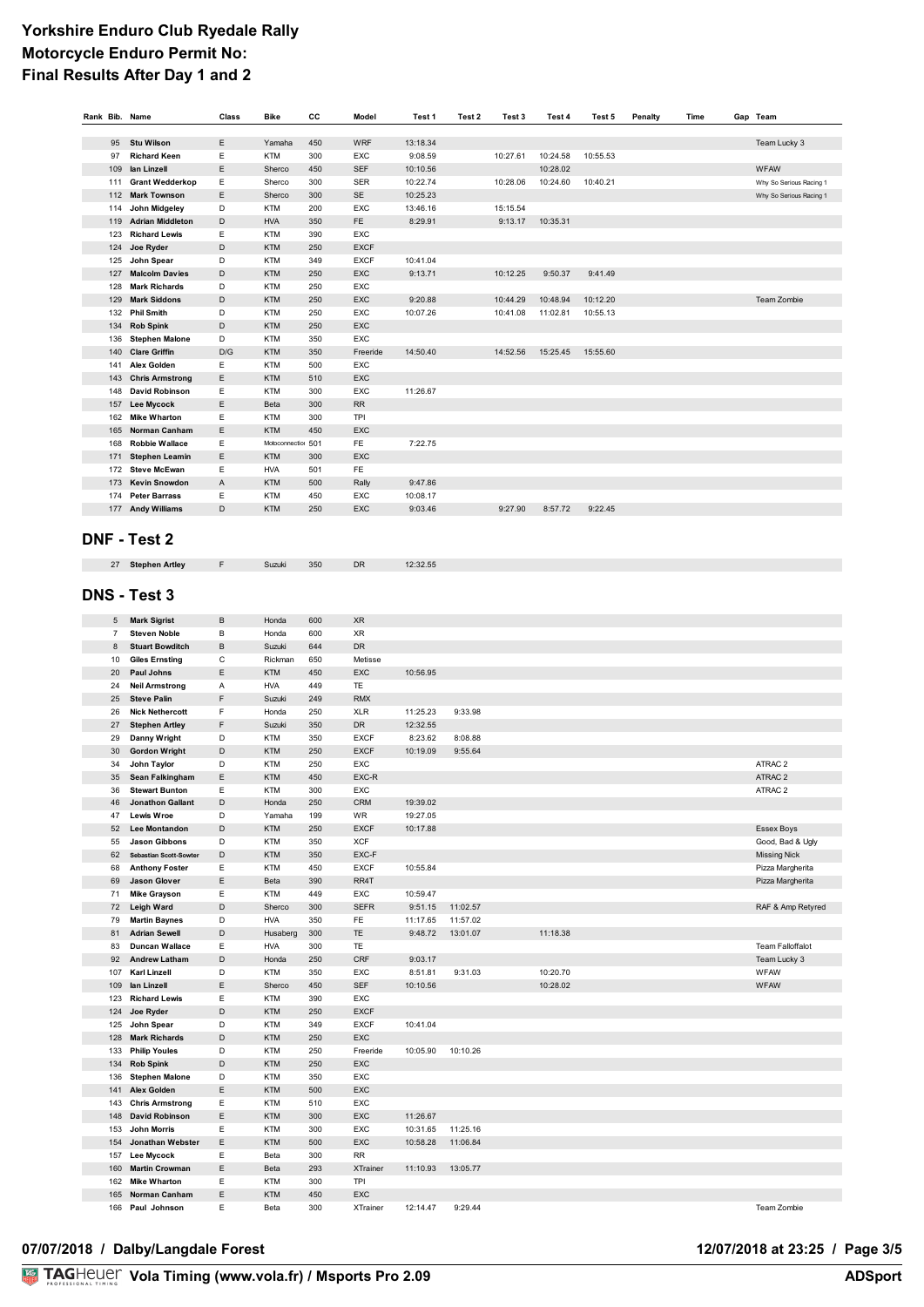| Rank Bib. Name      |                                              | Class  | <b>Bike</b>              | cc         | Model              | Test 1               | Test 2   | Test 3   | Test 4               | Test 5   | Penalty | Time | Gap Team                |
|---------------------|----------------------------------------------|--------|--------------------------|------------|--------------------|----------------------|----------|----------|----------------------|----------|---------|------|-------------------------|
|                     |                                              |        |                          |            |                    |                      |          |          |                      |          |         |      |                         |
| 95                  | <b>Stu Wilson</b>                            | E<br>Ε | Yamaha                   | 450        | WRF                | 13:18.34             |          |          |                      |          |         |      | Team Lucky 3            |
| 97<br>109           | <b>Richard Keen</b><br>lan Linzell           | E      | <b>KTM</b><br>Sherco     | 300<br>450 | EXC<br><b>SEF</b>  | 9:08.59<br>10:10.56  |          | 10:27.61 | 10:24.58<br>10:28.02 | 10:55.53 |         |      | WFAW                    |
| 111                 | <b>Grant Wedderkop</b>                       | Ε      | Sherco                   | 300        | <b>SER</b>         | 10:22.74             |          | 10:28.06 | 10:24.60             | 10:40.21 |         |      | Why So Serious Racing 1 |
| 112                 | <b>Mark Townson</b>                          | E      | Sherco                   | 300        | SE                 | 10:25.23             |          |          |                      |          |         |      | Why So Serious Racing 1 |
| 114                 | John Midgeley                                | D      | <b>KTM</b>               | 200        | EXC                | 13:46.16             |          | 15:15.54 |                      |          |         |      |                         |
| 119                 | <b>Adrian Middleton</b>                      | D      | <b>HVA</b>               | 350        | FE                 | 8:29.91              |          | 9:13.17  | 10:35.31             |          |         |      |                         |
| 123                 | <b>Richard Lewis</b>                         | Ε      | <b>KTM</b>               | 390        | EXC                |                      |          |          |                      |          |         |      |                         |
| 124                 | Joe Ryder                                    | D      | <b>KTM</b>               | 250        | <b>EXCF</b>        |                      |          |          |                      |          |         |      |                         |
| 125                 | John Spear                                   | D      | <b>KTM</b>               | 349        | <b>EXCF</b>        | 10:41.04             |          |          |                      |          |         |      |                         |
| 127                 | <b>Malcolm Davies</b>                        | D      | <b>KTM</b>               | 250        | EXC                | 9:13.71              |          | 10:12.25 | 9:50.37              | 9:41.49  |         |      |                         |
| 128                 | <b>Mark Richards</b>                         | D      | <b>KTM</b>               | 250        | EXC                |                      |          |          |                      |          |         |      |                         |
| 129                 | <b>Mark Siddons</b>                          | D      | <b>KTM</b>               | 250        | EXC                | 9:20.88              |          | 10:44.29 | 10:48.94             | 10:12.20 |         |      | Team Zombie             |
| 132<br>134          | <b>Phil Smith</b><br><b>Rob Spink</b>        | D<br>D | <b>KTM</b><br><b>KTM</b> | 250<br>250 | EXC<br>EXC         | 10:07.26             |          | 10:41.08 | 11:02.81             | 10:55.13 |         |      |                         |
| 136                 | <b>Stephen Malone</b>                        | D      | <b>KTM</b>               | 350        | EXC                |                      |          |          |                      |          |         |      |                         |
| 140                 | <b>Clare Griffin</b>                         | D/G    | <b>KTM</b>               | 350        | Freeride           | 14:50.40             |          | 14:52.56 | 15:25.45             | 15:55.60 |         |      |                         |
| 141                 | Alex Golden                                  | Ε      | <b>KTM</b>               | 500        | EXC                |                      |          |          |                      |          |         |      |                         |
| 143                 | <b>Chris Armstrong</b>                       | Ε      | <b>KTM</b>               | 510        | EXC                |                      |          |          |                      |          |         |      |                         |
| 148                 | <b>David Robinson</b>                        | E      | <b>KTM</b>               | 300        | EXC                | 11:26.67             |          |          |                      |          |         |      |                         |
| 157                 | <b>Lee Mycock</b>                            | E      | Beta                     | 300        | RR                 |                      |          |          |                      |          |         |      |                         |
| 162                 | <b>Mike Wharton</b>                          | Ε      | <b>KTM</b>               | 300        | <b>TPI</b>         |                      |          |          |                      |          |         |      |                         |
| 165                 | Norman Canham                                | Ε      | <b>KTM</b>               | 450        | EXC                |                      |          |          |                      |          |         |      |                         |
| 168                 | <b>Robbie Wallace</b>                        | Ε      | Motoconnection 501       |            | FE                 | 7:22.75              |          |          |                      |          |         |      |                         |
| 171                 | <b>Stephen Leamin</b>                        | E      | <b>KTM</b>               | 300        | EXC                |                      |          |          |                      |          |         |      |                         |
| 172                 | <b>Steve McEwan</b>                          | Ε      | <b>HVA</b>               | 501        | FE.                |                      |          |          |                      |          |         |      |                         |
| 173                 | <b>Kevin Snowdon</b>                         | A      | <b>KTM</b>               | 500        | Rally              | 9:47.86              |          |          |                      |          |         |      |                         |
| 174                 | <b>Peter Barrass</b>                         | E      | <b>KTM</b>               | 450        | EXC                | 10:08.17             |          |          |                      |          |         |      |                         |
| 177                 | <b>Andy Williams</b>                         | D      | <b>KTM</b>               | 250        | EXC                | 9:03.46              |          | 9:27.90  | 8:57.72              | 9:22.45  |         |      |                         |
|                     |                                              |        |                          |            |                    |                      |          |          |                      |          |         |      |                         |
|                     | DNF - Test 2                                 |        |                          |            |                    |                      |          |          |                      |          |         |      |                         |
|                     |                                              | F      |                          | 350        | DR                 | 12:32.55             |          |          |                      |          |         |      |                         |
| 27                  | <b>Stephen Artley</b>                        |        | Suzuki                   |            |                    |                      |          |          |                      |          |         |      |                         |
|                     |                                              |        |                          |            |                    |                      |          |          |                      |          |         |      |                         |
|                     | <b>DNS - Test 3</b>                          |        |                          |            |                    |                      |          |          |                      |          |         |      |                         |
|                     |                                              | B      |                          | 600        | <b>XR</b>          |                      |          |          |                      |          |         |      |                         |
| 5<br>$\overline{7}$ | <b>Mark Sigrist</b><br><b>Steven Noble</b>   | B      | Honda<br>Honda           | 600        | XR                 |                      |          |          |                      |          |         |      |                         |
| 8                   | <b>Stuart Bowditch</b>                       | B      | Suzuki                   | 644        | DR                 |                      |          |          |                      |          |         |      |                         |
| 10                  | <b>Giles Ernsting</b>                        | C      | Rickman                  | 650        | Metisse            |                      |          |          |                      |          |         |      |                         |
| 20                  | <b>Paul Johns</b>                            | Ε      | <b>KTM</b>               | 450        | EXC                | 10:56.95             |          |          |                      |          |         |      |                         |
| 24                  | <b>Neil Armstrong</b>                        | Α      | <b>HVA</b>               | 449        | TE                 |                      |          |          |                      |          |         |      |                         |
| 25                  | <b>Steve Palin</b>                           | F      | Suzuki                   | 249        | <b>RMX</b>         |                      |          |          |                      |          |         |      |                         |
| 26                  | <b>Nick Nethercott</b>                       | F      | Honda                    | 250        | <b>XLR</b>         | 11:25.23             | 9:33.98  |          |                      |          |         |      |                         |
| 27                  | <b>Stephen Artley</b>                        | F      | Suzuki                   | 350        | DR                 | 12:32.55             |          |          |                      |          |         |      |                         |
| 29                  | Danny Wright                                 | D      | <b>KTM</b>               | 350        | <b>EXCF</b>        | 8:23.62              | 8:08.88  |          |                      |          |         |      |                         |
| 30                  | <b>Gordon Wright</b>                         | D      | KTM                      | 250        | <b>EXCF</b>        | 10:19.09             | 9:55.64  |          |                      |          |         |      |                         |
| 34                  | John Taylor                                  | D      | <b>KTM</b>               | 250        | EXC                |                      |          |          |                      |          |         |      | ATRAC 2                 |
| 35                  | Sean Falkingham                              | E      | <b>KTM</b>               | 450        | EXC-R              |                      |          |          |                      |          |         |      | ATRAC 2                 |
| 36                  | <b>Stewart Bunton</b>                        | E      | <b>KTM</b>               | 300        | EXC                |                      |          |          |                      |          |         |      | ATRAC 2                 |
| 46<br>47            | <b>Jonathon Gallant</b><br><b>Lewis Wroe</b> | D<br>D | Honda                    | 250<br>199 | <b>CRM</b><br>WR   | 19:39.02             |          |          |                      |          |         |      |                         |
| 52                  | Lee Montandon                                | D      | Yamaha<br>KTM            | 250        | <b>EXCF</b>        | 19:27.05<br>10:17.88 |          |          |                      |          |         |      | <b>Essex Boys</b>       |
| 55                  | <b>Jason Gibbons</b>                         | D      | <b>KTM</b>               | 350        | <b>XCF</b>         |                      |          |          |                      |          |         |      | Good, Bad & Ugly        |
| 62                  | Sebastian Scott-Sowter                       | D      | KTM                      | 350        | EXC-F              |                      |          |          |                      |          |         |      | <b>Missing Nick</b>     |
| 68                  | <b>Anthony Foster</b>                        | Ε      | <b>KTM</b>               | 450        | <b>EXCF</b>        | 10:55.84             |          |          |                      |          |         |      | Pizza Margherita        |
| 69                  | <b>Jason Glover</b>                          | E      | Beta                     | 390        | RR4T               |                      |          |          |                      |          |         |      | Pizza Margherita        |
| 71                  | <b>Mike Grayson</b>                          | Ε      | <b>KTM</b>               | 449        | EXC                | 10:59.47             |          |          |                      |          |         |      |                         |
| 72                  | Leigh Ward                                   | D      | Sherco                   | 300        | <b>SEFR</b>        | 9:51.15              | 11:02.57 |          |                      |          |         |      | RAF & Amp Retyred       |
| 79                  | <b>Martin Baynes</b>                         | D      | <b>HVA</b>               | 350        | FE                 | 11:17.65             | 11:57.02 |          |                      |          |         |      |                         |
| 81                  | <b>Adrian Sewell</b>                         | D      | Husaberg                 | 300        | TE                 | 9:48.72              | 13:01.07 |          | 11:18.38             |          |         |      |                         |
| 83                  | <b>Duncan Wallace</b>                        | Ε      | <b>HVA</b>               | 300        | TE                 |                      |          |          |                      |          |         |      | <b>Team Falloffalot</b> |
| 92                  | <b>Andrew Latham</b>                         | D      | Honda                    | 250        | CRF                | 9:03.17              |          |          |                      |          |         |      | Team Lucky 3            |
| 107                 | <b>Karl Linzell</b>                          | D      | <b>KTM</b>               | 350        | EXC                | 8:51.81              | 9:31.03  |          | 10:20.70             |          |         |      | WFAW                    |
| 109                 | lan Linzell                                  | E      | Sherco                   | 450        | <b>SEF</b>         | 10:10.56             |          |          | 10:28.02             |          |         |      | WFAW                    |
| 123                 | <b>Richard Lewis</b>                         | Ε<br>D | <b>KTM</b><br>KTM        | 390<br>250 | EXC<br><b>EXCF</b> |                      |          |          |                      |          |         |      |                         |
| 124<br>125          | Joe Ryder<br>John Spear                      | D      | KTM                      | 349        | <b>EXCF</b>        | 10:41.04             |          |          |                      |          |         |      |                         |
| 128                 | <b>Mark Richards</b>                         | D      | KTM                      | 250        | EXC                |                      |          |          |                      |          |         |      |                         |
| 133                 | <b>Philip Youles</b>                         | D      | <b>KTM</b>               | 250        | Freeride           | 10:05.90             | 10:10.26 |          |                      |          |         |      |                         |
| 134                 | <b>Rob Spink</b>                             | D      | KTM                      | 250        | EXC                |                      |          |          |                      |          |         |      |                         |
| 136                 | <b>Stephen Malone</b>                        | D      | <b>KTM</b>               | 350        | EXC                |                      |          |          |                      |          |         |      |                         |
| 141                 | <b>Alex Golden</b>                           | E      | KTM                      | 500        | EXC                |                      |          |          |                      |          |         |      |                         |
| 143                 | <b>Chris Armstrong</b>                       | Ε      | <b>KTM</b>               | 510        | EXC                |                      |          |          |                      |          |         |      |                         |
| 148                 | <b>David Robinson</b>                        | Ε      | KTM                      | 300        | EXC                | 11:26.67             |          |          |                      |          |         |      |                         |
| 153                 | <b>John Morris</b>                           | Ε      | KTM                      | 300        | EXC                | 10:31.65             | 11:25.16 |          |                      |          |         |      |                         |
| 154                 | Jonathan Webster                             | E      | KTM                      | 500        | EXC                | 10:58.28             | 11:06.84 |          |                      |          |         |      |                         |
| 157                 | <b>Lee Mycock</b>                            | Ε      | Beta                     | 300        | <b>RR</b>          |                      |          |          |                      |          |         |      |                         |
| 160                 | <b>Martin Crowman</b>                        | Ε      | Beta                     | 293        | <b>XTrainer</b>    | 11:10.93             | 13:05.77 |          |                      |          |         |      |                         |
| 162                 | <b>Mike Wharton</b>                          | Ε      | <b>KTM</b>               | 300        | <b>TPI</b>         |                      |          |          |                      |          |         |      |                         |
| 165                 | Norman Canham                                | Ε      | KTM                      | 450        | EXC                |                      |          |          |                      |          |         |      |                         |
| 166                 | Paul Johnson                                 | Ε      | Beta                     | 300        | XTrainer           | 12:14.47             | 9:29.44  |          |                      |          |         |      | Team Zombie             |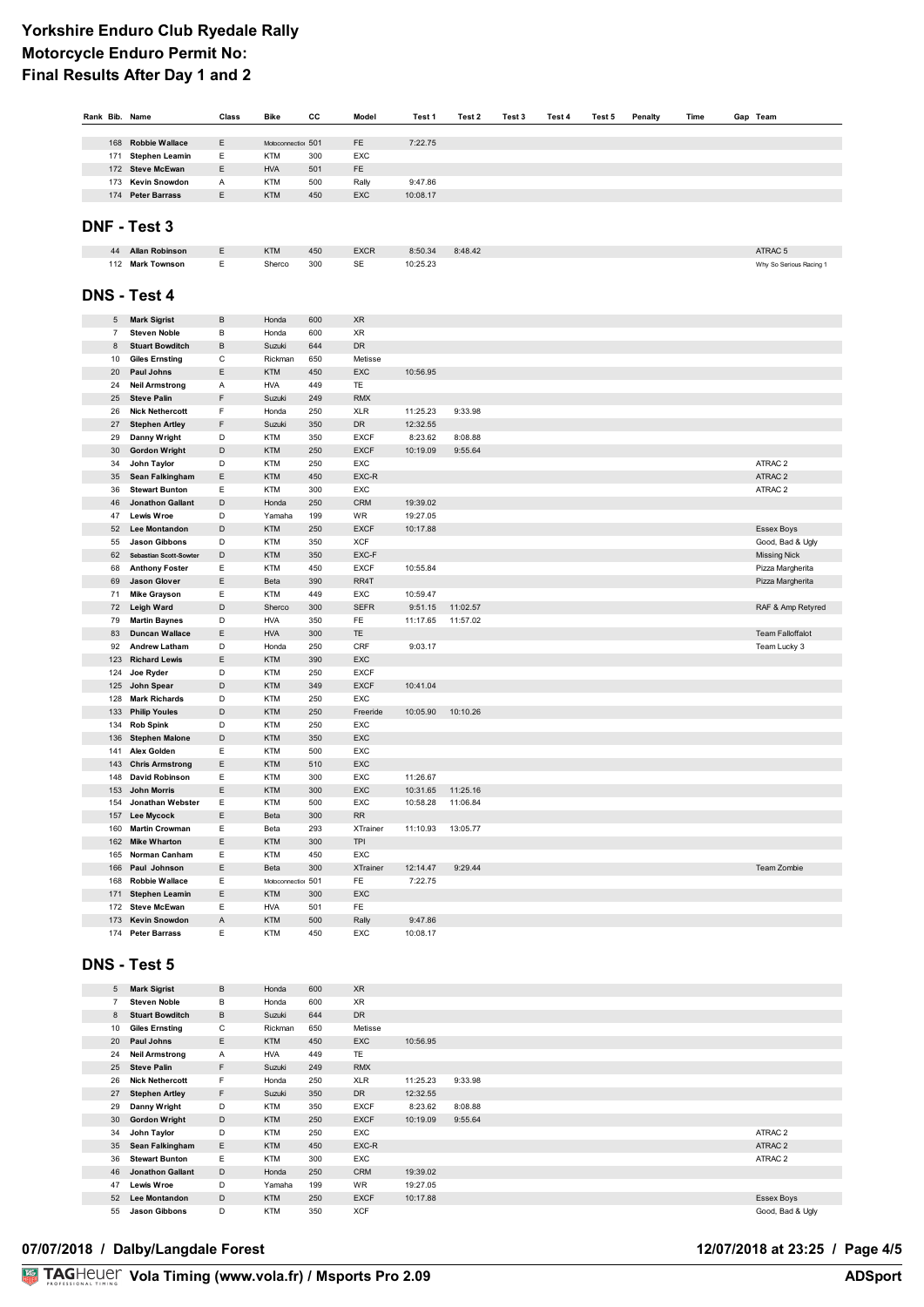| Rank Bib. |            | Name                                            | Class  | Bike                     | cc         | Model               | Test 1             | Test 2   | Test 3 | Test 4 | Test 5 | Penalty | Time | Gap Team                      |
|-----------|------------|-------------------------------------------------|--------|--------------------------|------------|---------------------|--------------------|----------|--------|--------|--------|---------|------|-------------------------------|
|           |            |                                                 |        |                          |            |                     |                    |          |        |        |        |         |      |                               |
|           | 168        | <b>Robbie Wallace</b>                           | E      | Motoconnection 501       |            | FE                  | 7:22.75            |          |        |        |        |         |      |                               |
|           | 171        | <b>Stephen Leamin</b>                           | Ε      | <b>KTM</b>               | 300        | EXC                 |                    |          |        |        |        |         |      |                               |
|           | 172        | <b>Steve McEwan</b>                             | Ε      | <b>HVA</b>               | 501        | FE                  |                    |          |        |        |        |         |      |                               |
|           | 173        | Kevin Snowdon                                   | Α      | <b>KTM</b>               | 500        | Rally               | 9:47.86            |          |        |        |        |         |      |                               |
|           | 174        | <b>Peter Barrass</b>                            | Ε      | <b>KTM</b>               | 450        | EXC                 | 10:08.17           |          |        |        |        |         |      |                               |
|           |            |                                                 |        |                          |            |                     |                    |          |        |        |        |         |      |                               |
|           |            | <b>DNF - Test 3</b>                             |        |                          |            |                     |                    |          |        |        |        |         |      |                               |
|           | 44         | <b>Allan Robinson</b>                           | Ε      | KTM                      | 450        | <b>EXCR</b>         | 8:50.34            | 8:48.42  |        |        |        |         |      | ATRAC <sub>5</sub>            |
|           |            | 112 Mark Townson                                | Ε      | Sherco                   | 300        | SE                  | 10:25.23           |          |        |        |        |         |      | Why So Serious Racing 1       |
|           |            | <b>DNS - Test 4</b>                             |        |                          |            |                     |                    |          |        |        |        |         |      |                               |
|           |            |                                                 |        |                          |            |                     |                    |          |        |        |        |         |      |                               |
|           | 5          | <b>Mark Sigrist</b>                             | B      | Honda                    | 600        | <b>XR</b>           |                    |          |        |        |        |         |      |                               |
|           | 7          | <b>Steven Noble</b>                             | в      | Honda                    | 600        | <b>XR</b>           |                    |          |        |        |        |         |      |                               |
|           | 8          | <b>Stuart Bowditch</b>                          | B      | Suzuki                   | 644        | DR                  |                    |          |        |        |        |         |      |                               |
|           | 10         | <b>Giles Ernsting</b>                           | C      | Rickman                  | 650        | Metisse             |                    |          |        |        |        |         |      |                               |
|           | 20         | Paul Johns                                      | Ε      | <b>KTM</b>               | 450        | EXC                 | 10:56.95           |          |        |        |        |         |      |                               |
|           | 24         | <b>Neil Armstrong</b>                           | Α      | <b>HVA</b>               | 449        | TE                  |                    |          |        |        |        |         |      |                               |
|           | 25         | <b>Steve Palin</b>                              | F      | Suzuki                   | 249        | <b>RMX</b>          |                    |          |        |        |        |         |      |                               |
|           | 26         | <b>Nick Nethercott</b>                          | F      | Honda                    | 250        | <b>XLR</b>          | 11:25.23           | 9:33.98  |        |        |        |         |      |                               |
|           | 27         | <b>Stephen Artley</b>                           | F      | Suzuki                   | 350        | <b>DR</b>           | 12:32.55           |          |        |        |        |         |      |                               |
|           | 29         | Danny Wright                                    | D      | <b>KTM</b>               | 350        | <b>EXCF</b>         | 8:23.62            | 8:08.88  |        |        |        |         |      |                               |
|           | 30         | <b>Gordon Wright</b>                            | D      | <b>KTM</b>               | 250        | <b>EXCF</b>         | 10:19.09           | 9:55.64  |        |        |        |         |      |                               |
|           | 34         | John Taylor                                     | D      | <b>KTM</b><br><b>KTM</b> | 250<br>450 | EXC<br>EXC-R        |                    |          |        |        |        |         |      | ATRAC 2<br>ATRAC <sub>2</sub> |
|           | 35         | Sean Falkingham                                 | Ε      |                          |            |                     |                    |          |        |        |        |         |      |                               |
|           | 36         | <b>Stewart Bunton</b>                           | Ε      | <b>KTM</b>               | 300        | EXC                 | 19:39.02           |          |        |        |        |         |      | ATRAC 2                       |
|           | 46         | <b>Jonathon Gallant</b>                         | D      | Honda                    | 250        | <b>CRM</b>          |                    |          |        |        |        |         |      |                               |
|           | 47         | <b>Lewis Wroe</b>                               | D      | Yamaha                   | 199        | WR                  | 19:27.05           |          |        |        |        |         |      |                               |
|           | 52         | Lee Montandon                                   | D      | <b>KTM</b>               | 250        | <b>EXCF</b>         | 10:17.88           |          |        |        |        |         |      | Essex Boys                    |
|           | 55         | <b>Jason Gibbons</b>                            | D      | <b>KTM</b>               | 350        | <b>XCF</b>          |                    |          |        |        |        |         |      | Good, Bad & Ugly              |
|           | 62         | Sebastian Scott-Sowter                          | D<br>Ε | <b>KTM</b>               | 350        | EXC-F               |                    |          |        |        |        |         |      | <b>Missing Nick</b>           |
|           | 68         | <b>Anthony Foster</b>                           |        | <b>KTM</b>               | 450<br>390 | <b>EXCF</b><br>RR4T | 10:55.84           |          |        |        |        |         |      | Pizza Margherita              |
|           | 69         | <b>Jason Glover</b>                             | Ε<br>Ε | Beta                     | 449        |                     |                    |          |        |        |        |         |      | Pizza Margherita              |
|           | 71         | <b>Mike Grayson</b>                             |        | <b>KTM</b>               |            | EXC                 | 10:59.47           |          |        |        |        |         |      |                               |
|           | 72         | Leigh Ward                                      | D<br>D | Sherco                   | 300        | <b>SEFR</b>         | 9:51.15            | 11:02.57 |        |        |        |         |      | RAF & Amp Retyred             |
|           | 79         | <b>Martin Baynes</b>                            |        | <b>HVA</b>               | 350        | FE                  | 11:17.65           | 11:57.02 |        |        |        |         |      |                               |
|           | 83         | <b>Duncan Wallace</b>                           | Ε<br>D | <b>HVA</b>               | 300        | TE                  | 9:03.17            |          |        |        |        |         |      | <b>Team Falloffalot</b>       |
|           | 92         | <b>Andrew Latham</b>                            |        | Honda                    | 250        | CRF                 |                    |          |        |        |        |         |      | Team Lucky 3                  |
|           | 123        | <b>Richard Lewis</b>                            | Ε      | <b>KTM</b>               | 390        | EXC                 |                    |          |        |        |        |         |      |                               |
|           | 124        | Joe Ryder                                       | D      | <b>KTM</b>               | 250        | <b>EXCF</b>         |                    |          |        |        |        |         |      |                               |
|           | 125        | John Spear                                      | D      | <b>KTM</b>               | 349        | <b>EXCF</b>         | 10:41.04           |          |        |        |        |         |      |                               |
|           | 128        | <b>Mark Richards</b>                            | D<br>D | <b>KTM</b><br><b>KTM</b> | 250<br>250 | EXC                 |                    |          |        |        |        |         |      |                               |
|           | 133        | <b>Philip Youles</b>                            | D      | <b>KTM</b>               | 250        | Freeride<br>EXC     | 10:05.90           | 10:10.26 |        |        |        |         |      |                               |
|           | 134        | <b>Rob Spink</b>                                | D      | <b>KTM</b>               |            | EXC                 |                    |          |        |        |        |         |      |                               |
|           | 136<br>141 | <b>Stephen Malone</b><br>Alex Golden            | E      | <b>KTM</b>               | 350<br>500 | EXC                 |                    |          |        |        |        |         |      |                               |
|           |            |                                                 | Ε      |                          |            |                     |                    |          |        |        |        |         |      |                               |
|           | 143<br>148 | <b>Chris Armstrong</b><br><b>David Robinson</b> | Ε      | <b>KTM</b><br><b>KTM</b> | 510<br>300 | EXC<br>EXC          | 11:26.67           |          |        |        |        |         |      |                               |
|           |            |                                                 | E      |                          |            |                     | 10:31.65           | 11:25.16 |        |        |        |         |      |                               |
|           | 153        | <b>John Morris</b>                              | E      | <b>KTM</b>               | 300<br>500 | EXC<br>EXC          |                    | 11:06.84 |        |        |        |         |      |                               |
|           | 154        | Jonathan Webster                                |        | <b>KTM</b>               |            |                     | 10:58.28           |          |        |        |        |         |      |                               |
|           |            | 157 Lee Mycock                                  | Ε      | Beta                     | 300        | <b>RR</b>           | 11:10.93  13:05.77 |          |        |        |        |         |      |                               |
|           |            | 160 Martin Crowman<br>162 Mike Wharton          | Ε      | Beta                     | 293        | <b>XTrainer</b>     |                    |          |        |        |        |         |      |                               |
|           |            |                                                 | E      | KTM                      | 300        | <b>TPI</b>          |                    |          |        |        |        |         |      |                               |
|           |            | 165 Norman Canham                               | Ε      | <b>KTM</b>               | 450        | EXC                 |                    |          |        |        |        |         |      |                               |
|           |            | 166 Paul Johnson                                | Ε      | Beta                     | 300        | <b>XTrainer</b>     | 12:14.47           | 9:29.44  |        |        |        |         |      | Team Zombie                   |
|           |            | 168 Robbie Wallace                              | Ε      | Motoconnection 501       |            | FE                  | 7:22.75            |          |        |        |        |         |      |                               |
|           |            | 171 Stephen Leamin                              | E      | <b>KTM</b>               | 300        | EXC                 |                    |          |        |        |        |         |      |                               |
|           |            | 172 Steve McEwan                                | Ε      | <b>HVA</b>               | 501        | FE                  |                    |          |        |        |        |         |      |                               |
|           |            | 173 Kevin Snowdon                               | Α      | KTM                      | 500        | Rally               | 9:47.86            |          |        |        |        |         |      |                               |
|           |            | 174 Peter Barrass                               | Ε      | KTM                      | 450        | EXC                 | 10:08.17           |          |        |        |        |         |      |                               |

# **DNS - Test 5**

| 5  | <b>Mark Sigrist</b>     | B            | Honda      | 600 | <b>XR</b>   |          |         |                  |
|----|-------------------------|--------------|------------|-----|-------------|----------|---------|------------------|
| 7  | <b>Steven Noble</b>     | в            | Honda      | 600 | <b>XR</b>   |          |         |                  |
| 8  | <b>Stuart Bowditch</b>  | B            | Suzuki     | 644 | <b>DR</b>   |          |         |                  |
| 10 | <b>Giles Ernsting</b>   | С            | Rickman    | 650 | Metisse     |          |         |                  |
| 20 | Paul Johns              | E            | <b>KTM</b> | 450 | <b>EXC</b>  | 10:56.95 |         |                  |
| 24 | <b>Neil Armstrong</b>   | $\mathsf{A}$ | <b>HVA</b> | 449 | <b>TE</b>   |          |         |                  |
| 25 | <b>Steve Palin</b>      | F.           | Suzuki     | 249 | <b>RMX</b>  |          |         |                  |
| 26 | <b>Nick Nethercott</b>  | F.           | Honda      | 250 | <b>XLR</b>  | 11:25.23 | 9:33.98 |                  |
| 27 | <b>Stephen Artley</b>   | F.           | Suzuki     | 350 | <b>DR</b>   | 12:32.55 |         |                  |
| 29 | Danny Wright            | D            | <b>KTM</b> | 350 | <b>EXCF</b> | 8:23.62  | 8:08.88 |                  |
| 30 | <b>Gordon Wright</b>    | D            | <b>KTM</b> | 250 | <b>EXCF</b> | 10:19.09 | 9:55.64 |                  |
| 34 | John Taylor             | D            | <b>KTM</b> | 250 | <b>EXC</b>  |          |         | ATRAC 2          |
| 35 | Sean Falkingham         | Ε            | <b>KTM</b> | 450 | EXC-R       |          |         | ATRAC 2          |
| 36 | <b>Stewart Bunton</b>   | E            | <b>KTM</b> | 300 | EXC         |          |         | ATRAC 2          |
| 46 | <b>Jonathon Gallant</b> | D            | Honda      | 250 | <b>CRM</b>  | 19:39.02 |         |                  |
| 47 | <b>Lewis Wroe</b>       | D            | Yamaha     | 199 | <b>WR</b>   | 19:27.05 |         |                  |
| 52 | <b>Lee Montandon</b>    | D            | <b>KTM</b> | 250 | <b>EXCF</b> | 10:17.88 |         | Essex Boys       |
| 55 | <b>Jason Gibbons</b>    | D            | <b>KTM</b> | 350 | <b>XCF</b>  |          |         | Good, Bad & Ugly |

### 07/07/2018 / Dalby/Langdale Forest

# 12/07/2018 at 23:25 / Page 4/5<br>ADSport